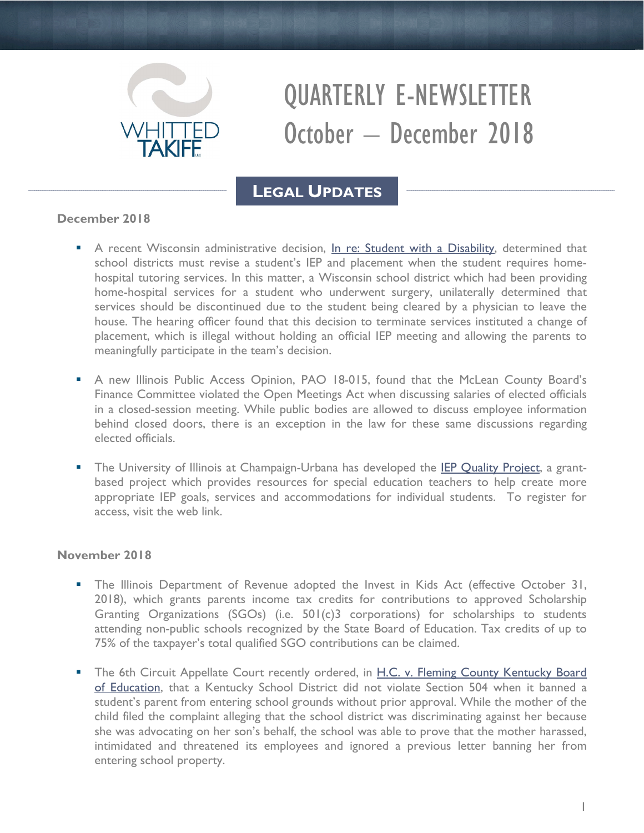

# QUARTERLY E-NEWSLETTER October – December 2018

# **LEGAL UPDATES**

## **December 2018**

- A recent Wisconsin administrative decision, [In re: Student with a Disability,](http://www.whittedtakifflaw.com/in-re-student-with-a-disability-2/) determined that school districts must revise a student's IEP and placement when the student requires homehospital tutoring services. In this matter, a Wisconsin school district which had been providing home-hospital services for a student who underwent surgery, unilaterally determined that services should be discontinued due to the student being cleared by a physician to leave the house. The hearing officer found that this decision to terminate services instituted a change of placement, which is illegal without holding an official IEP meeting and allowing the parents to meaningfully participate in the team's decision.
- A new Illinois Public Access Opinion, PAO 18-015, found that the McLean County Board's Finance Committee violated the Open Meetings Act when discussing salaries of elected officials in a closed-session meeting. While public bodies are allowed to discuss employee information behind closed doors, there is an exception in the law for these same discussions regarding elected officials.
- The University of Illinois at Champaign-Urbana has developed the [IEP Quality Project,](https://iepq.education.illinois.edu/public/about) a grantbased project which provides resources for special education teachers to help create more appropriate IEP goals, services and accommodations for individual students. To register for access, visit the web link.

### **November 2018**

- The Illinois Department of Revenue adopted the Invest in Kids Act (effective October 31, 2018), which grants parents income tax credits for contributions to approved Scholarship Granting Organizations (SGOs) (i.e. 501(c)3 corporations) for scholarships to students attending non-public schools recognized by the State Board of Education. Tax credits of up to 75% of the taxpayer's total qualified SGO contributions can be claimed.
- The 6th Circuit Appellate Court recently ordered, in H.C. v. Fleming County Kentucky Board [of Education,](http://www.whittedtakifflaw.com/h-c-v-fleming-county-ky-bd-education/) that a Kentucky School District did not violate Section 504 when it banned a student's parent from entering school grounds without prior approval. While the mother of the child filed the complaint alleging that the school district was discriminating against her because she was advocating on her son's behalf, the school was able to prove that the mother harassed, intimidated and threatened its employees and ignored a previous letter banning her from entering school property.